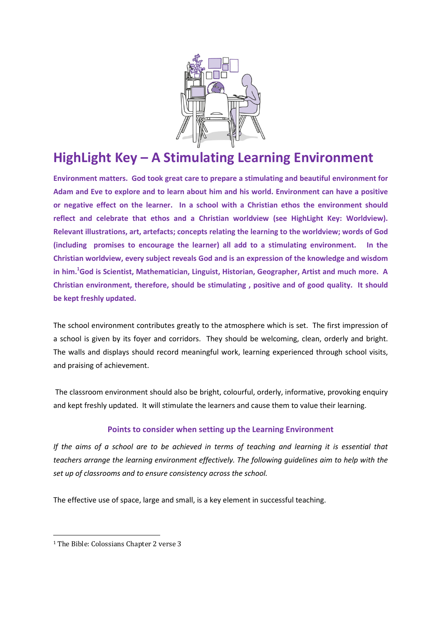

## HighLight Key – A Stimulating Learning Environment

Environment matters. God took great care to prepare a stimulating and beautiful environment for Adam and Eve to explore and to learn about him and his world. Environment can have a positive or negative effect on the learner. In a school with a Christian ethos the environment should reflect and celebrate that ethos and a Christian worldview (see HighLight Key: Worldview). Relevant illustrations, art, artefacts; concepts relating the learning to the worldview; words of God (including promises to encourage the learner) all add to a stimulating environment. In the Christian worldview, every subject reveals God and is an expression of the knowledge and wisdom in him.<sup>1</sup>God is Scientist, Mathematician, Linguist, Historian, Geographer, Artist and much more. A Christian environment, therefore, should be stimulating , positive and of good quality. It should be kept freshly updated.

The school environment contributes greatly to the atmosphere which is set. The first impression of a school is given by its foyer and corridors. They should be welcoming, clean, orderly and bright. The walls and displays should record meaningful work, learning experienced through school visits, and praising of achievement.

 The classroom environment should also be bright, colourful, orderly, informative, provoking enquiry and kept freshly updated. It will stimulate the learners and cause them to value their learning.

## Points to consider when setting up the Learning Environment

If the aims of a school are to be achieved in terms of teaching and learning it is essential that teachers arrange the learning environment effectively. The following guidelines aim to help with the set up of classrooms and to ensure consistency across the school.

The effective use of space, large and small, is a key element in successful teaching.

 $\overline{a}$ 

<sup>&</sup>lt;sup>1</sup> The Bible: Colossians Chapter 2 verse 3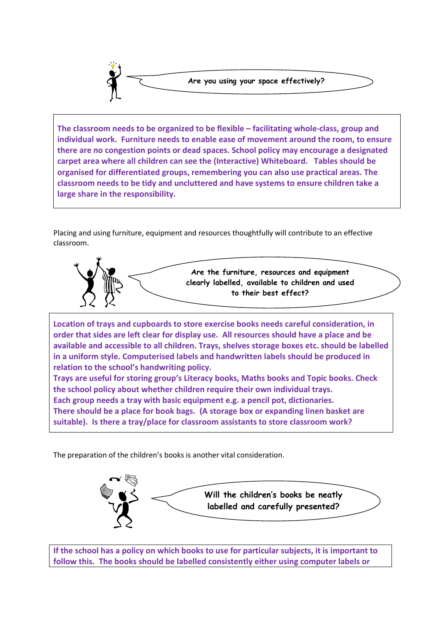

The classroom needs to be organized to be flexible – facilitating whole-class, group and individual work. Furniture needs to enable ease of movement around the room, to ensure there are no congestion points or dead spaces. School policy may encourage a designated carpet area where all children can see the (Interactive) Whiteboard. Tables should be organised for differentiated groups, remembering you can also use practical areas. The classroom needs to be tidy and uncluttered and have systems to ensure children take a large share in the responsibility.

Placing and using furniture, equipment and resources thoughtfully will contribute to an effective classroom.



Location of trays and cupboards to store exercise books needs careful consideration, in order that sides are left clear for display use. All resources should have a place and be available and accessible to all children. Trays, shelves storage boxes etc. should be labelled in a uniform style. Computerised labels and handwritten labels should be produced in relation to the school's handwriting policy.

Trays are useful for storing group's Literacy books, Maths books and Topic books. Check the school policy about whether children require their own individual trays. Each group needs a tray with basic equipment e.g. a pencil pot, dictionaries. There should be a place for book bags. (A storage box or expanding linen basket are suitable). Is there a tray/place for classroom assistants to store classroom work?

The preparation of the children's books is another vital consideration.



If the school has a policy on which books to use for particular subjects, it is important to follow this. The books should be labelled consistently either using computer labels or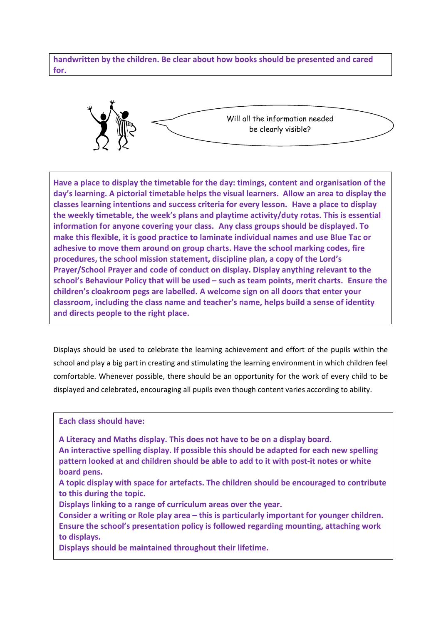handwritten by the children. Be clear about how books should be presented and cared for.



Have a place to display the timetable for the day: timings, content and organisation of the day's learning. A pictorial timetable helps the visual learners. Allow an area to display the classes learning intentions and success criteria for every lesson. Have a place to display the weekly timetable, the week's plans and playtime activity/duty rotas. This is essential information for anyone covering your class. Any class groups should be displayed. To make this flexible, it is good practice to laminate individual names and use Blue Tac or adhesive to move them around on group charts. Have the school marking codes, fire procedures, the school mission statement, discipline plan, a copy of the Lord's Prayer/School Prayer and code of conduct on display. Display anything relevant to the school's Behaviour Policy that will be used – such as team points, merit charts. Ensure the children's cloakroom pegs are labelled. A welcome sign on all doors that enter your classroom, including the class name and teacher's name, helps build a sense of identity and directs people to the right place.

Displays should be used to celebrate the learning achievement and effort of the pupils within the school and play a big part in creating and stimulating the learning environment in which children feel comfortable. Whenever possible, there should be an opportunity for the work of every child to be displayed and celebrated, encouraging all pupils even though content varies according to ability.

Each class should have:

A Literacy and Maths display. This does not have to be on a display board.

- An interactive spelling display. If possible this should be adapted for each new spelling pattern looked at and children should be able to add to it with post-it notes or white board pens.
- A topic display with space for artefacts. The children should be encouraged to contribute to this during the topic.
- Displays linking to a range of curriculum areas over the year.
- Consider a writing or Role play area this is particularly important for younger children. Ensure the school's presentation policy is followed regarding mounting, attaching work to displays.

Displays should be maintained throughout their lifetime.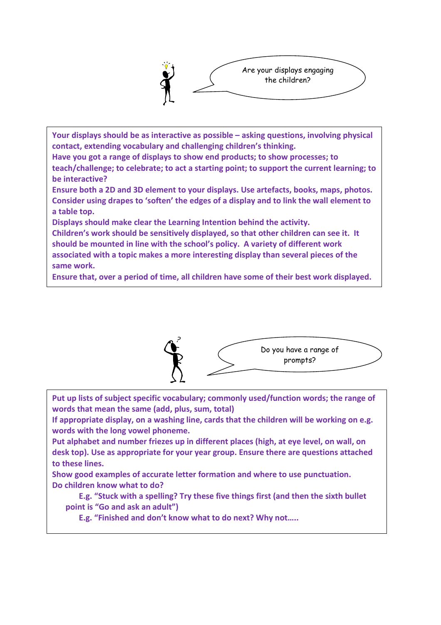

Your displays should be as interactive as possible – asking questions, involving physical contact, extending vocabulary and challenging children's thinking.

Have you got a range of displays to show end products; to show processes; to teach/challenge; to celebrate; to act a starting point; to support the current learning; to be interactive?

Ensure both a 2D and 3D element to your displays. Use artefacts, books, maps, photos. Consider using drapes to 'soften' the edges of a display and to link the wall element to a table top.

Displays should make clear the Learning Intention behind the activity.

Children's work should be sensitively displayed, so that other children can see it. It should be mounted in line with the school's policy. A variety of different work associated with a topic makes a more interesting display than several pieces of the same work.

Ensure that, over a period of time, all children have some of their best work displayed.



Put up lists of subject specific vocabulary; commonly used/function words; the range of words that mean the same (add, plus, sum, total)

If appropriate display, on a washing line, cards that the children will be working on e.g. words with the long vowel phoneme.

Put alphabet and number friezes up in different places (high, at eye level, on wall, on desk top). Use as appropriate for your year group. Ensure there are questions attached to these lines.

Show good examples of accurate letter formation and where to use punctuation. Do children know what to do?

E.g. "Stuck with a spelling? Try these five things first (and then the sixth bullet point is "Go and ask an adult")

E.g. "Finished and don't know what to do next? Why not…..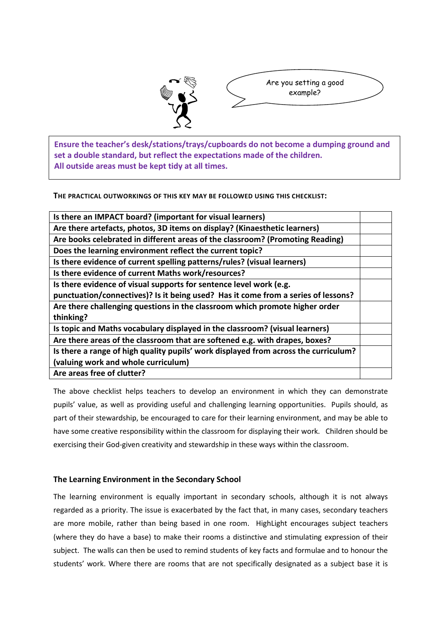



set a double standard, but reflect the expectations made of the children.<br>All patricipates the legislate of the children. school. Ensure the teacher's desk/stations/trays/cupboards do not become a dumping ground and All outside areas must be kept tidy at all times.

THE PRACTICAL OUTWORKINGS OF THIS KEY MAY BE FOLLOWED USING THIS CHECKLIST:

| Is there an IMPACT board? (important for visual learners)                           |  |
|-------------------------------------------------------------------------------------|--|
| Are there artefacts, photos, 3D items on display? (Kinaesthetic learners)           |  |
| Are books celebrated in different areas of the classroom? (Promoting Reading)       |  |
| Does the learning environment reflect the current topic?                            |  |
| Is there evidence of current spelling patterns/rules? (visual learners)             |  |
| Is there evidence of current Maths work/resources?                                  |  |
| Is there evidence of visual supports for sentence level work (e.g.                  |  |
| punctuation/connectives)? Is it being used? Has it come from a series of lessons?   |  |
| Are there challenging questions in the classroom which promote higher order         |  |
| thinking?                                                                           |  |
| Is topic and Maths vocabulary displayed in the classroom? (visual learners)         |  |
| Are there areas of the classroom that are softened e.g. with drapes, boxes?         |  |
| Is there a range of high quality pupils' work displayed from across the curriculum? |  |
| (valuing work and whole curriculum)                                                 |  |
| Are areas free of clutter?                                                          |  |

The above checklist helps teachers to develop an environment in which they can demonstrate pupils' value, as well as providing useful and challenging learning opportunities. Pupils should, as part of their stewardship, be encouraged to care for their learning environment, and may be able to have some creative responsibility within the classroom for displaying their work. Children should be exercising their God-given creativity and stewardship in these ways within the classroom.

## The Learning Environment in the Secondary School

The learning environment is equally important in secondary schools, although it is not always regarded as a priority. The issue is exacerbated by the fact that, in many cases, secondary teachers are more mobile, rather than being based in one room. HighLight encourages subject teachers (where they do have a base) to make their rooms a distinctive and stimulating expression of their subject. The walls can then be used to remind students of key facts and formulae and to honour the students' work. Where there are rooms that are not specifically designated as a subject base it is